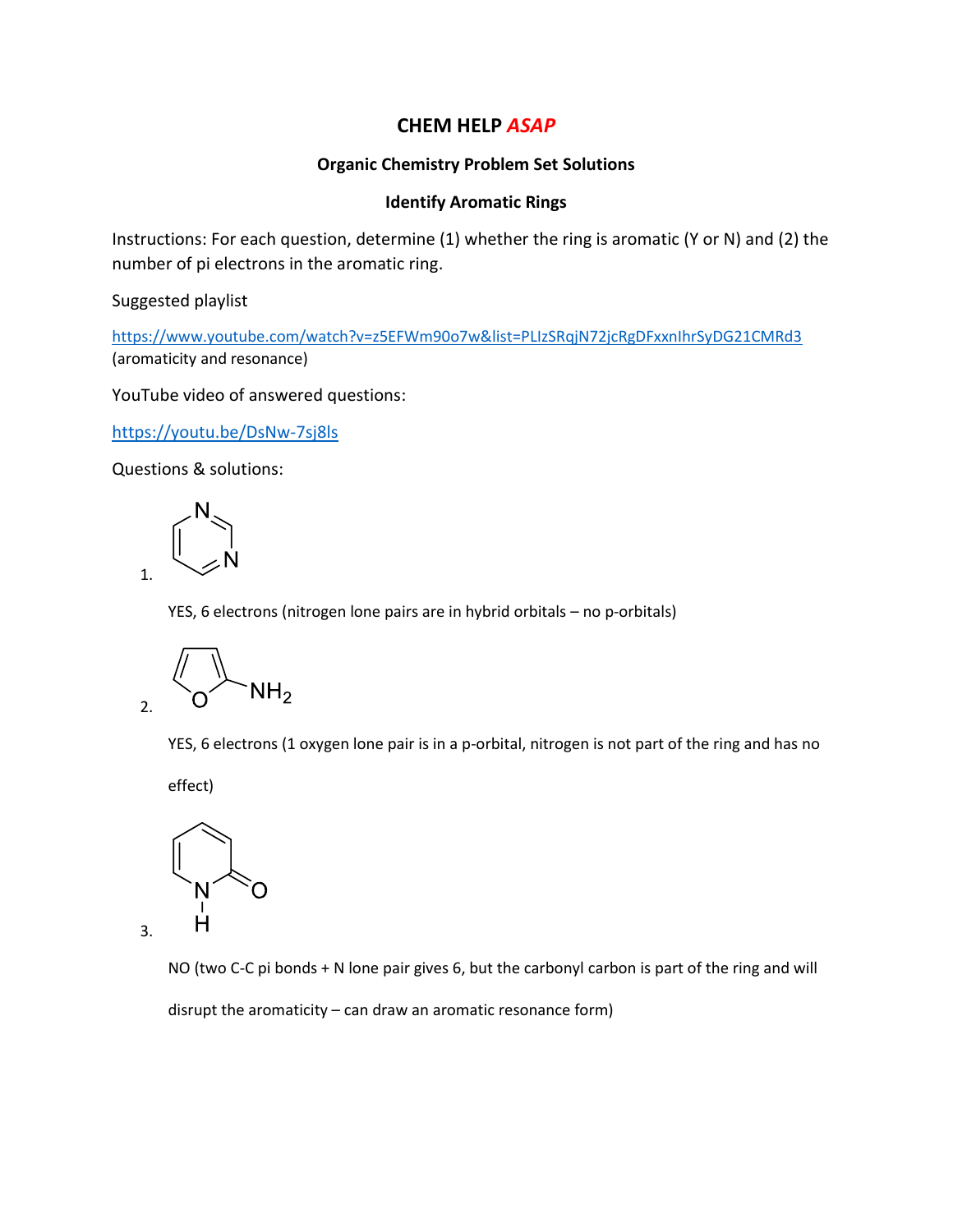## **CHEM HELP** *ASAP*

## **Organic Chemistry Problem Set Solutions**

## **Identify Aromatic Rings**

Instructions: For each question, determine (1) whether the ring is aromatic (Y or N) and (2) the number of pi electrons in the aromatic ring.

Suggested playlist

<https://www.youtube.com/watch?v=z5EFWm90o7w&list=PLIzSRqjN72jcRgDFxxnIhrSyDG21CMRd3> (aromaticity and resonance)

YouTube video of answered questions:

<https://youtu.be/DsNw-7sj8ls>

Questions & solutions:

1.

3.

YES, 6 electrons (nitrogen lone pairs are in hybrid orbitals – no p-orbitals)

 $NH<sub>2</sub>$ 2.

YES, 6 electrons (1 oxygen lone pair is in a p-orbital, nitrogen is not part of the ring and has no

effect)

н

NO (two C-C pi bonds + N lone pair gives 6, but the carbonyl carbon is part of the ring and will disrupt the aromaticity – can draw an aromatic resonance form)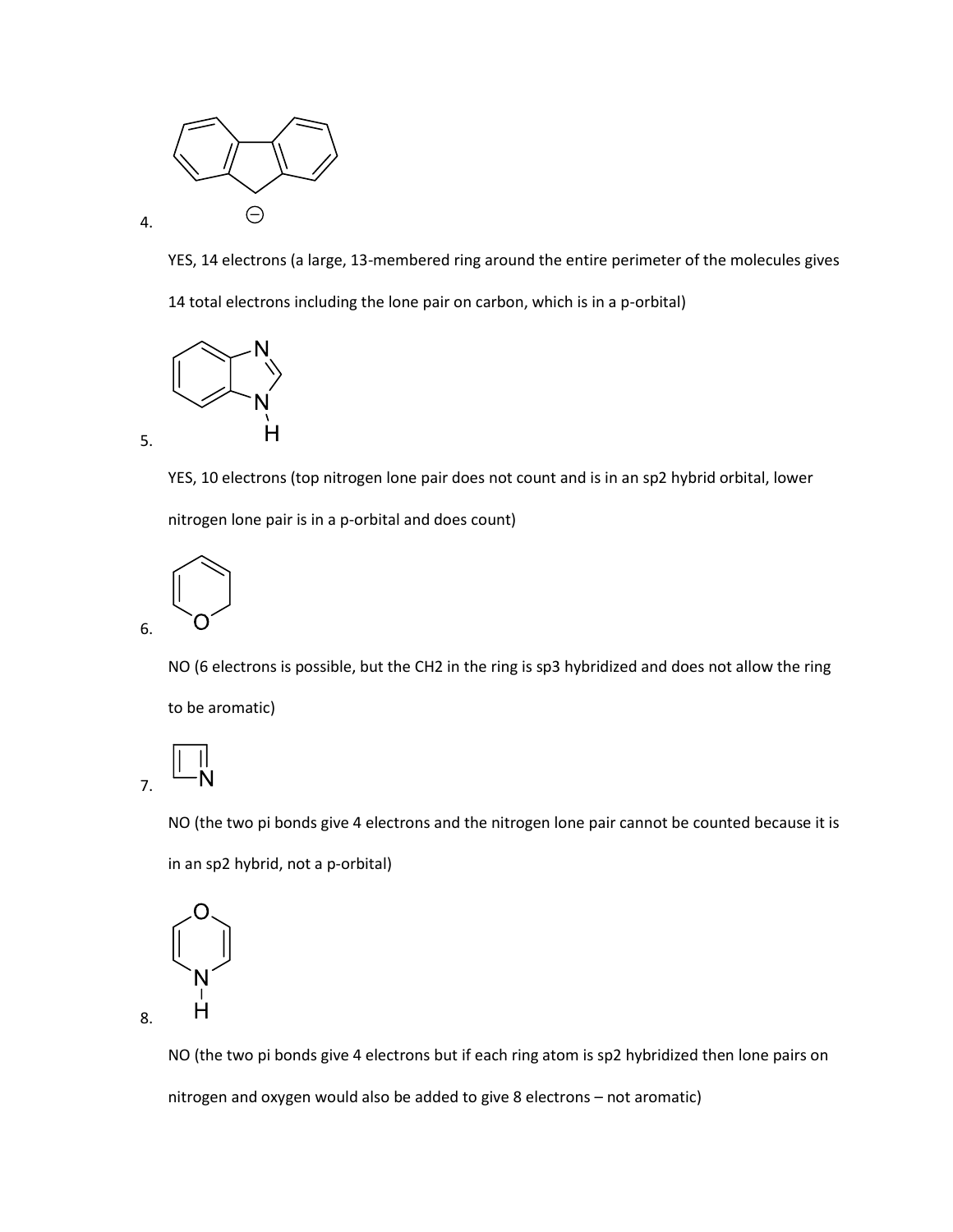

YES, 14 electrons (a large, 13-membered ring around the entire perimeter of the molecules gives 14 total electrons including the lone pair on carbon, which is in a p-orbital)



4.

5.

YES, 10 electrons (top nitrogen lone pair does not count and is in an sp2 hybrid orbital, lower nitrogen lone pair is in a p-orbital and does count)



NO (6 electrons is possible, but the CH2 in the ring is sp3 hybridized and does not allow the ring to be aromatic)



NO (the two pi bonds give 4 electrons and the nitrogen lone pair cannot be counted because it is in an sp2 hybrid, not a p-orbital)

$$
\begin{pmatrix} 0 \\ -z \\ 1 \end{pmatrix}
$$

8.

NO (the two pi bonds give 4 electrons but if each ring atom is sp2 hybridized then lone pairs on nitrogen and oxygen would also be added to give 8 electrons – not aromatic)